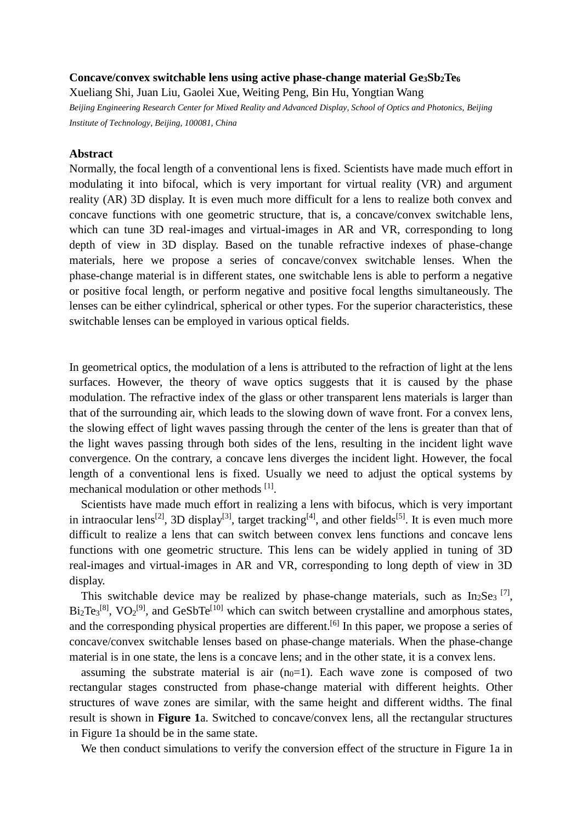## **Concave/convex switchable lens using active phase-change material Ge3Sb2Te<sup>6</sup>**

Xueliang Shi, Juan Liu, Gaolei Xue, Weiting Peng, Bin Hu, Yongtian Wang *Beijing Engineering Research Center for Mixed Reality and Advanced Display, School of Optics and Photonics, Beijing Institute of Technology, Beijing, 100081, China*

## **Abstract**

Normally, the focal length of a conventional lens is fixed. Scientists have made much effort in modulating it into bifocal, which is very important for virtual reality (VR) and argument reality (AR) 3D display. It is even much more difficult for a lens to realize both convex and concave functions with one geometric structure, that is, a concave/convex switchable lens, which can tune 3D real-images and virtual-images in AR and VR, corresponding to long depth of view in 3D display. Based on the tunable refractive indexes of phase-change materials, here we propose a series of concave/convex switchable lenses. When the phase-change material is in different states, one switchable lens is able to perform a negative or positive focal length, or perform negative and positive focal lengths simultaneously. The lenses can be either cylindrical, spherical or other types. For the superior characteristics, these switchable lenses can be employed in various optical fields.

In geometrical optics, the modulation of a lens is attributed to the refraction of light at the lens surfaces. However, the theory of wave optics suggests that it is caused by the phase modulation. The refractive index of the glass or other transparent lens materials is larger than that of the surrounding air, which leads to the slowing down of wave front. For a convex lens, the slowing effect of light waves passing through the center of the lens is greater than that of the light waves passing through both sides of the lens, resulting in the incident light wave convergence. On the contrary, a concave lens diverges the incident light. However, the focal length of a conventional lens is fixed. Usually we need to adjust the optical systems by mechanical modulation or other methods [1].

 Scientists have made much effort in realizing a lens with bifocus, which is very important in intraocular lens<sup>[2]</sup>, 3D display<sup>[3]</sup>, target tracking<sup>[4]</sup>, and other fields<sup>[5]</sup>. It is even much more difficult to realize a lens that can switch between convex lens functions and concave lens functions with one geometric structure. This lens can be widely applied in tuning of 3D real-images and virtual-images in AR and VR, corresponding to long depth of view in 3D display.

This switchable device may be realized by phase-change materials, such as  $In<sub>2</sub>Se<sub>3</sub>$  [7],  $Bi_2Te_3^{[8]}$ ,  $VO_2^{[9]}$ , and  $GeSbTe^{[10]}$  which can switch between crystalline and amorphous states, and the corresponding physical properties are different.<sup>[6]</sup> In this paper, we propose a series of concave/convex switchable lenses based on phase-change materials. When the phase-change material is in one state, the lens is a concave lens; and in the other state, it is a convex lens.

assuming the substrate material is air  $(n<sub>0</sub>=1)$ . Each wave zone is composed of two rectangular stages constructed from phase-change material with different heights. Other structures of wave zones are similar, with the same height and different widths. The final result is shown in **Figure 1**a. Switched to concave/convex lens, all the rectangular structures in Figure 1a should be in the same state.

We then conduct simulations to verify the conversion effect of the structure in Figure 1a in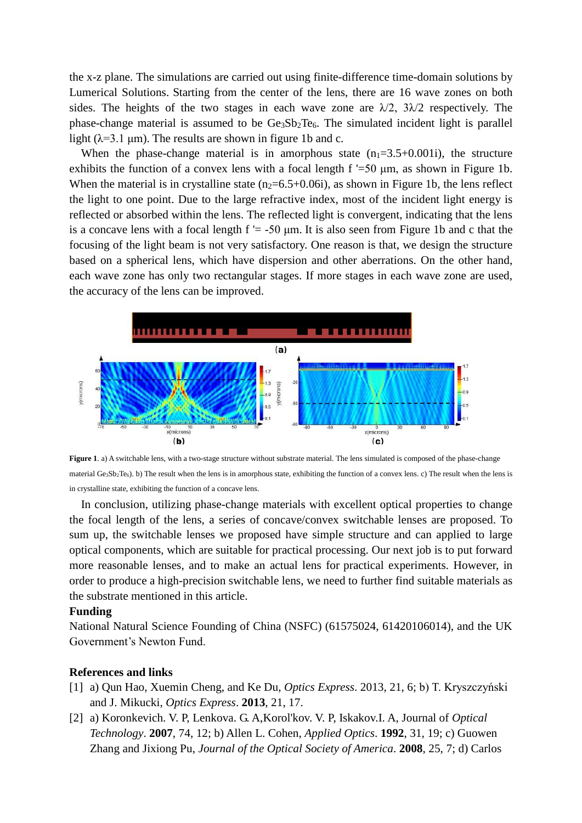the x-z plane. The simulations are carried out using finite-difference time-domain solutions by Lumerical Solutions. Starting from the center of the lens, there are 16 wave zones on both sides. The heights of the two stages in each wave zone are  $\lambda/2$ ,  $3\lambda/2$  respectively. The phase-change material is assumed to be  $Ge_3Sb_2Te_6$ . The simulated incident light is parallel light ( $\lambda$ =3.1 µm). The results are shown in figure 1b and c.

When the phase-change material is in amorphous state  $(n_1=3.5+0.001i)$ , the structure exhibits the function of a convex lens with a focal length f '=50 μm, as shown in Figure 1b. When the material is in crystalline state  $(n<sub>2</sub>=6.5+0.06i)$ , as shown in Figure 1b, the lens reflect the light to one point. Due to the large refractive index, most of the incident light energy is reflected or absorbed within the lens. The reflected light is convergent, indicating that the lens is a concave lens with a focal length  $f = -50$  um. It is also seen from Figure 1b and c that the focusing of the light beam is not very satisfactory. One reason is that, we design the structure based on a spherical lens, which have dispersion and other aberrations. On the other hand, each wave zone has only two rectangular stages. If more stages in each wave zone are used, the accuracy of the lens can be improved.



**Figure** 1, a) A switchable lens, with a two-stage structure without substrate material. The lens simulated is composed of the phase-change material Ge<sub>3</sub>Sb<sub>2</sub>Te<sub>6</sub>). b) The result when the lens is in amorphous state, exhibiting the function of a convex lens. c) The result when the lens is in crystalline state, exhibiting the function of a concave lens.

 In conclusion, utilizing phase-change materials with excellent optical properties to change the focal length of the lens, a series of concave/convex switchable lenses are proposed. To sum up, the switchable lenses we proposed have simple structure and can applied to large optical components, which are suitable for practical processing. Our next job is to put forward more reasonable lenses, and to make an actual lens for practical experiments. However, in order to produce a high-precision switchable lens, we need to further find suitable materials as the substrate mentioned in this article.

## **Funding**

National Natural Science Founding of China (NSFC) (61575024, 61420106014), and the UK Government's Newton Fund.

## **References and links**

- [1] a) Qun Hao, Xuemin Cheng, and Ke Du, *Optics Express*. 2013, 21, 6; b) T. Kryszczyński and J. Mikucki, *Optics Express*. **2013**, 21, 17.
- [2] a) Koronkevich. V. P, Lenkova. G. A,Korol'kov. V. P, Iskakov.I. A, Journal of *Optical Technology*. **2007**, 74, 12; b) Allen L. Cohen, *Applied Optics*. **1992**, 31, 19; c) Guowen Zhang and Jixiong Pu, *Journal of the Optical Society of America*. **2008**, 25, 7; d) Carlos